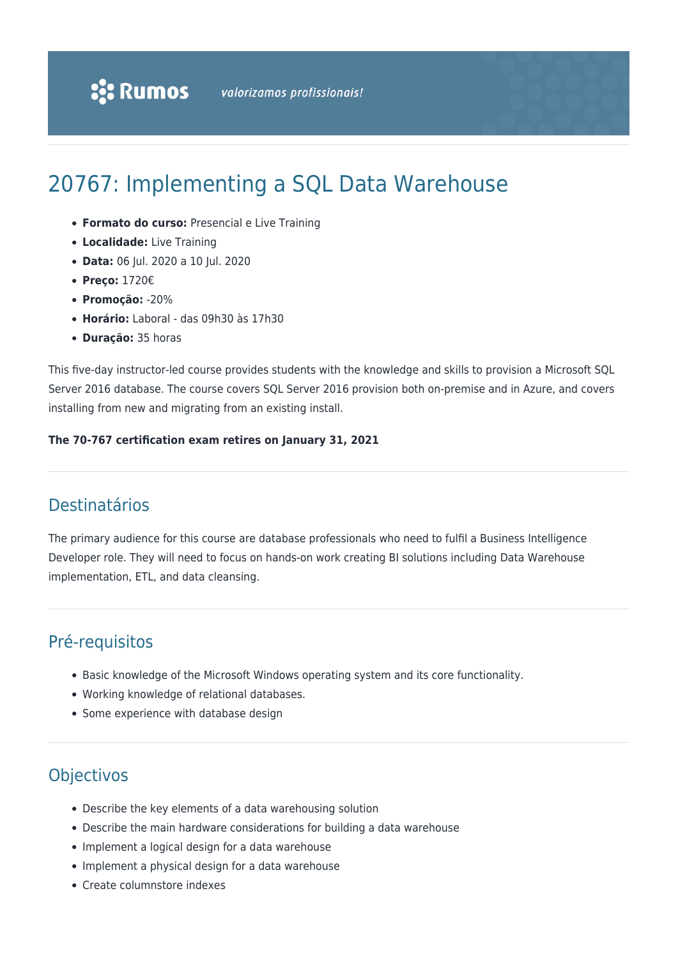# 20767: Implementing a SQL Data Warehouse

- **Formato do curso:** Presencial e Live Training
- **Localidade:** Live Training
- **Data:** 06 Jul. 2020 a 10 Jul. 2020
- **Preço:** 1720€
- **Promoção:** -20%
- **Horário:** Laboral das 09h30 às 17h30
- **Duração:** 35 horas

This five-day instructor-led course provides students with the knowledge and skills to provision a Microsoft SQL Server 2016 database. The course covers SQL Server 2016 provision both on-premise and in Azure, and covers installing from new and migrating from an existing install.

#### **The 70-767 certification exam retires on January 31, 2021**

# Destinatários

The primary audience for this course are database professionals who need to fulfil a Business Intelligence Developer role. They will need to focus on hands-on work creating BI solutions including Data Warehouse implementation, ETL, and data cleansing.

# Pré-requisitos

- Basic knowledge of the Microsoft Windows operating system and its core functionality.
- Working knowledge of relational databases.
- Some experience with database design

# **Objectivos**

- Describe the key elements of a data warehousing solution
- Describe the main hardware considerations for building a data warehouse
- Implement a logical design for a data warehouse
- Implement a physical design for a data warehouse
- Create columnstore indexes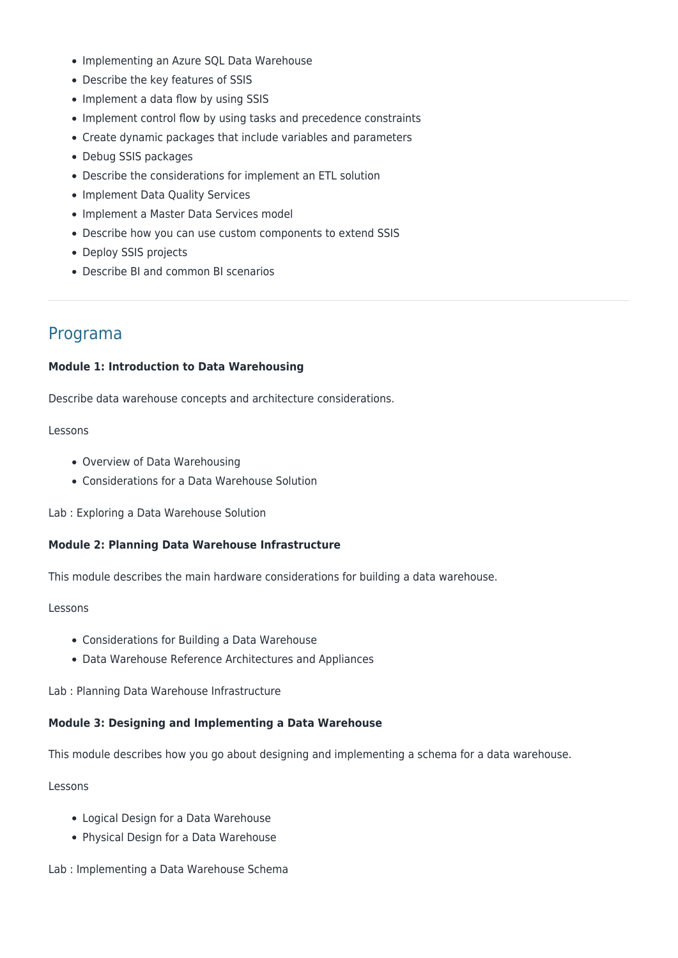- Implementing an Azure SQL Data Warehouse
- Describe the key features of SSIS
- Implement a data flow by using SSIS
- Implement control flow by using tasks and precedence constraints
- Create dynamic packages that include variables and parameters
- Debug SSIS packages
- Describe the considerations for implement an ETL solution
- Implement Data Quality Services
- Implement a Master Data Services model
- Describe how you can use custom components to extend SSIS
- Deploy SSIS projects
- Describe BI and common BI scenarios

# Programa

#### **Module 1: Introduction to Data Warehousing**

Describe data warehouse concepts and architecture considerations.

#### Lessons

- Overview of Data Warehousing
- Considerations for a Data Warehouse Solution

Lab : Exploring a Data Warehouse Solution

#### **Module 2: Planning Data Warehouse Infrastructure**

This module describes the main hardware considerations for building a data warehouse.

#### Lessons

- Considerations for Building a Data Warehouse
- Data Warehouse Reference Architectures and Appliances

Lab : Planning Data Warehouse Infrastructure

## **Module 3: Designing and Implementing a Data Warehouse**

This module describes how you go about designing and implementing a schema for a data warehouse.

#### Lessons

- Logical Design for a Data Warehouse
- Physical Design for a Data Warehouse
- Lab : Implementing a Data Warehouse Schema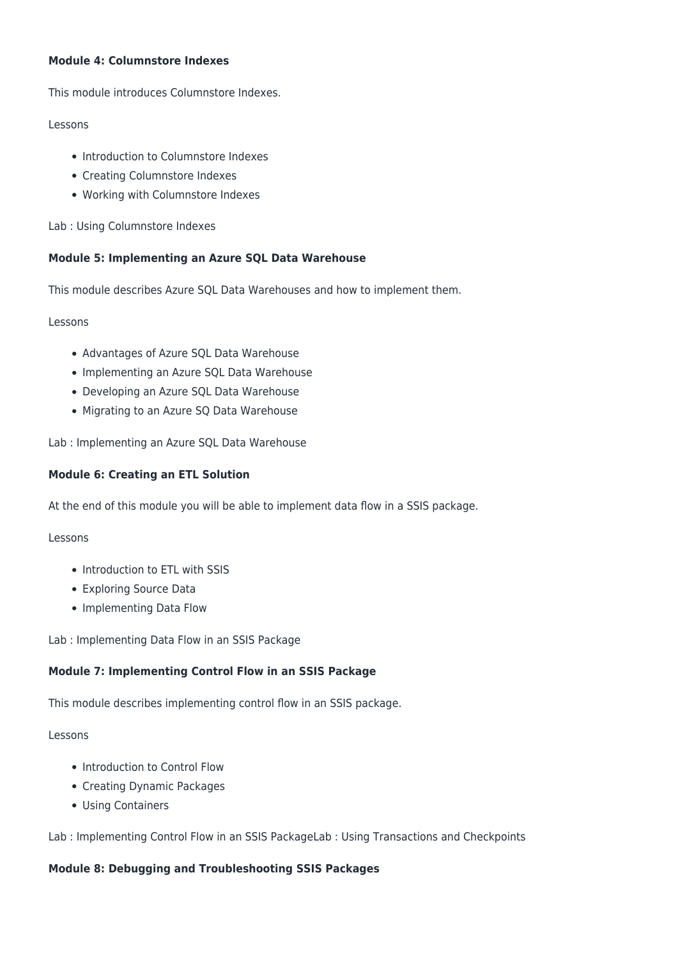## **Module 4: Columnstore Indexes**

This module introduces Columnstore Indexes.

## Lessons

- Introduction to Columnstore Indexes
- Creating Columnstore Indexes
- Working with Columnstore Indexes

Lab : Using Columnstore Indexes

# **Module 5: Implementing an Azure SQL Data Warehouse**

This module describes Azure SQL Data Warehouses and how to implement them.

Lessons

- Advantages of Azure SQL Data Warehouse
- Implementing an Azure SQL Data Warehouse
- Developing an Azure SQL Data Warehouse
- Migrating to an Azure SQ Data Warehouse

Lab : Implementing an Azure SQL Data Warehouse

# **Module 6: Creating an ETL Solution**

At the end of this module you will be able to implement data flow in a SSIS package.

Lessons

- Introduction to ETL with SSIS
- Exploring Source Data
- Implementing Data Flow

Lab : Implementing Data Flow in an SSIS Package

# **Module 7: Implementing Control Flow in an SSIS Package**

This module describes implementing control flow in an SSIS package.

Lessons

- Introduction to Control Flow
- Creating Dynamic Packages
- Using Containers

Lab : Implementing Control Flow in an SSIS PackageLab : Using Transactions and Checkpoints

# **Module 8: Debugging and Troubleshooting SSIS Packages**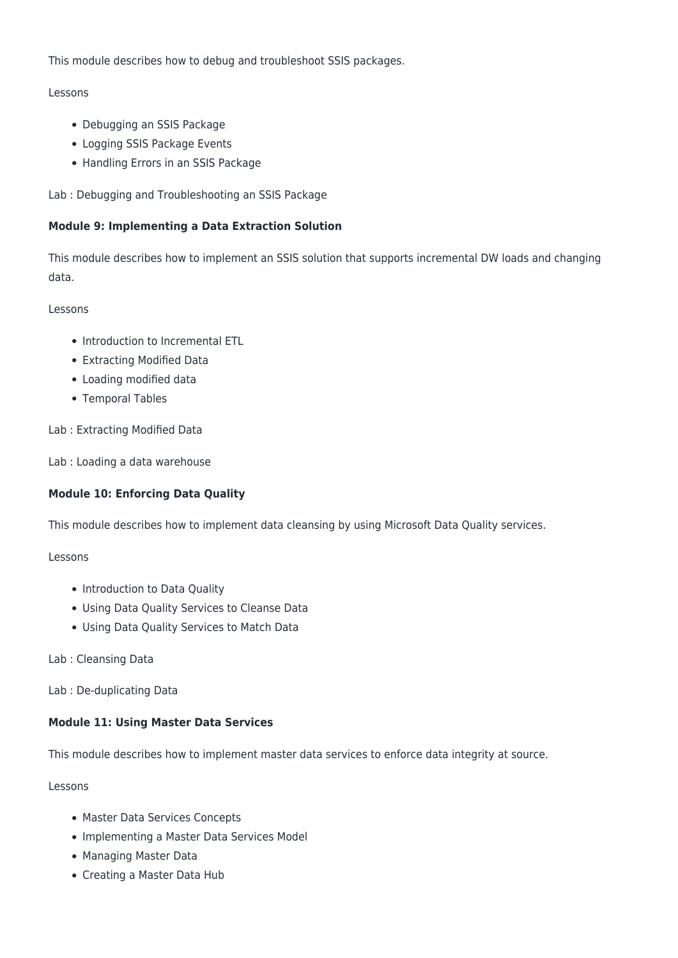This module describes how to debug and troubleshoot SSIS packages.

# Lessons

- Debugging an SSIS Package
- Logging SSIS Package Events
- Handling Errors in an SSIS Package

Lab : Debugging and Troubleshooting an SSIS Package

# **Module 9: Implementing a Data Extraction Solution**

This module describes how to implement an SSIS solution that supports incremental DW loads and changing data.

# Lessons

- Introduction to Incremental ETL
- Extracting Modified Data
- Loading modified data
- Temporal Tables

Lab : Extracting Modified Data

Lab : Loading a data warehouse

# **Module 10: Enforcing Data Quality**

This module describes how to implement data cleansing by using Microsoft Data Quality services.

# Lessons

- Introduction to Data Quality
- Using Data Quality Services to Cleanse Data
- Using Data Quality Services to Match Data
- Lab : Cleansing Data

Lab : De-duplicating Data

# **Module 11: Using Master Data Services**

This module describes how to implement master data services to enforce data integrity at source.

Lessons

- Master Data Services Concepts
- Implementing a Master Data Services Model
- Managing Master Data
- Creating a Master Data Hub